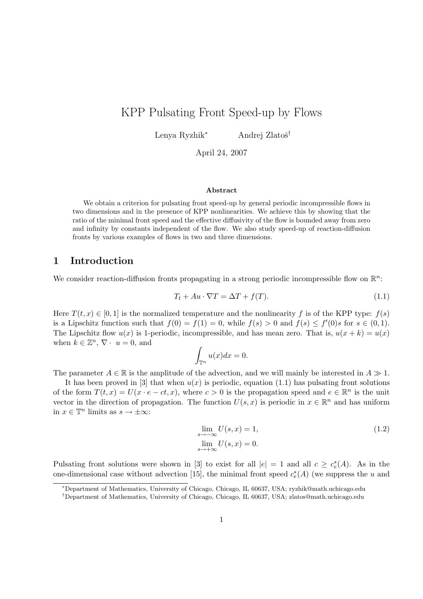# KPP Pulsating Front Speed-up by Flows

Lenya Ryzhik<sup>∗</sup> Andrej Zlatoš<sup>†</sup>

April 24, 2007

#### Abstract

We obtain a criterion for pulsating front speed-up by general periodic incompressible flows in two dimensions and in the presence of KPP nonlinearities. We achieve this by showing that the ratio of the minimal front speed and the effective diffusivity of the flow is bounded away from zero and infinity by constants independent of the flow. We also study speed-up of reaction-diffusion fronts by various examples of flows in two and three dimensions.

# 1 Introduction

We consider reaction-diffusion fronts propagating in a strong periodic incompressible flow on  $\mathbb{R}^n$ :

$$
T_t + Au \cdot \nabla T = \Delta T + f(T). \tag{1.1}
$$

Here  $T(t, x) \in [0, 1]$  is the normalized temperature and the nonlinearity f is of the KPP type:  $f(s)$ is a Lipschitz function such that  $f(0) = f(1) = 0$ , while  $f(s) > 0$  and  $f(s) \le f'(0)s$  for  $s \in (0,1)$ . The Lipschitz flow  $u(x)$  is 1-periodic, incompressible, and has mean zero. That is,  $u(x + k) = u(x)$ when  $k \in \mathbb{Z}^n$ ,  $\nabla \cdot u = 0$ , and

$$
\int_{\mathbb{T}^n} u(x)dx = 0.
$$

The parameter  $A \in \mathbb{R}$  is the amplitude of the advection, and we will mainly be interested in  $A \gg 1$ .

It has been proved in [3] that when  $u(x)$  is periodic, equation (1.1) has pulsating front solutions of the form  $T(t, x) = U(x \cdot e - ct, x)$ , where  $c > 0$  is the propagation speed and  $e \in \mathbb{R}^n$  is the unit vector in the direction of propagation. The function  $U(s, x)$  is periodic in  $x \in \mathbb{R}^n$  and has uniform in  $x \in \mathbb{T}^n$  limits as  $s \to \pm \infty$ :

$$
\lim_{s \to -\infty} U(s, x) = 1,
$$
\n
$$
\lim_{s \to +\infty} U(s, x) = 0.
$$
\n(1.2)

Pulsating front solutions were shown in [3] to exist for all  $|e| = 1$  and all  $c \geq c_e^*(A)$ . As in the one-dimensional case without advection [15], the minimal front speed  $c_e^*(A)$  (we suppress the u and

<sup>∗</sup>Department of Mathematics, University of Chicago, Chicago, IL 60637, USA; ryzhik@math.uchicago.edu

<sup>†</sup>Department of Mathematics, University of Chicago, Chicago, IL 60637, USA; zlatos@math.uchicago.edu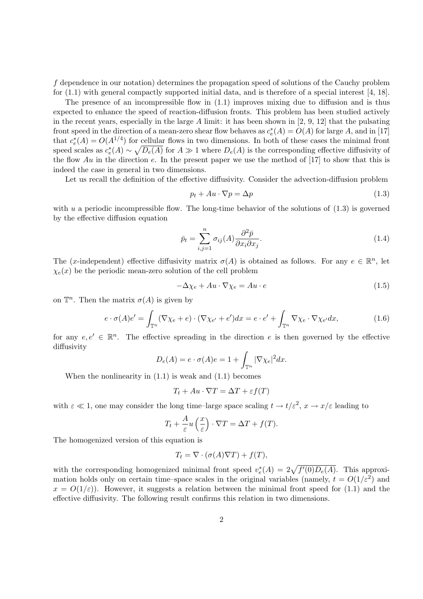f dependence in our notation) determines the propagation speed of solutions of the Cauchy problem for (1.1) with general compactly supported initial data, and is therefore of a special interest [4, 18].

The presence of an incompressible flow in (1.1) improves mixing due to diffusion and is thus expected to enhance the speed of reaction-diffusion fronts. This problem has been studied actively in the recent years, especially in the large A limit: it has been shown in [2, 9, 12] that the pulsating front speed in the direction of a mean-zero shear flow behaves as  $c_e^*(A) = O(A)$  for large A, and in [17] that  $c_e^*(A) = O(A^{1/4})$  for cellular flows in two dimensions. In both of these cases the minimal front speed scales as  $c_e^*(A) \sim \sqrt{D_e(A)}$  for  $A \gg 1$  where  $D_e(A)$  is the corresponding effective diffusivity of the flow  $Au$  in the direction  $e$ . In the present paper we use the method of [17] to show that this is indeed the case in general in two dimensions.

Let us recall the definition of the effective diffusivity. Consider the advection-diffusion problem

$$
p_t + Au \cdot \nabla p = \Delta p \tag{1.3}
$$

with  $u$  a periodic incompressible flow. The long-time behavior of the solutions of  $(1.3)$  is governed by the effective diffusion equation

$$
\bar{p}_t = \sum_{i,j=1}^n \sigma_{ij}(A) \frac{\partial^2 \bar{p}}{\partial x_i \partial x_j}.
$$
\n(1.4)

The (x-independent) effective diffusivity matrix  $\sigma(A)$  is obtained as follows. For any  $e \in \mathbb{R}^n$ , let  $\chi_e(x)$  be the periodic mean-zero solution of the cell problem

$$
-\Delta \chi_e + Au \cdot \nabla \chi_e = Au \cdot e \tag{1.5}
$$

on  $\mathbb{T}^n$ . Then the matrix  $\sigma(A)$  is given by

$$
e \cdot \sigma(A)e' = \int_{\mathbb{T}^n} (\nabla \chi_e + e) \cdot (\nabla \chi_{e'} + e') dx = e \cdot e' + \int_{\mathbb{T}^n} \nabla \chi_e \cdot \nabla \chi_{e'} dx, \tag{1.6}
$$

for any  $e, e' \in \mathbb{R}^n$ . The effective spreading in the direction e is then governed by the effective diffusivity

$$
D_e(A) = e \cdot \sigma(A)e = 1 + \int_{\mathbb{T}^n} |\nabla \chi_e|^2 dx.
$$

When the nonlinearity in  $(1.1)$  is weak and  $(1.1)$  becomes

$$
T_t + Au \cdot \nabla T = \Delta T + \varepsilon f(T)
$$

with  $\varepsilon \ll 1$ , one may consider the long time–large space scaling  $t \to t/\varepsilon^2$ ,  $x \to x/\varepsilon$  leading to

$$
T_t + \frac{A}{\varepsilon} u\left(\frac{x}{\varepsilon}\right) \cdot \nabla T = \Delta T + f(T).
$$

The homogenized version of this equation is

$$
T_t = \nabla \cdot (\sigma(A)\nabla T) + f(T),
$$

with the corresponding homogenized minimal front speed  $v_e^*(A) = 2\sqrt{f'(0)D_e(A)}$ . This approximation holds only on certain time–space scales in the original variables (namely,  $t = O(1/\varepsilon^2)$  and  $x = O(1/\varepsilon)$ . However, it suggests a relation between the minimal front speed for (1.1) and the effective diffusivity. The following result confirms this relation in two dimensions.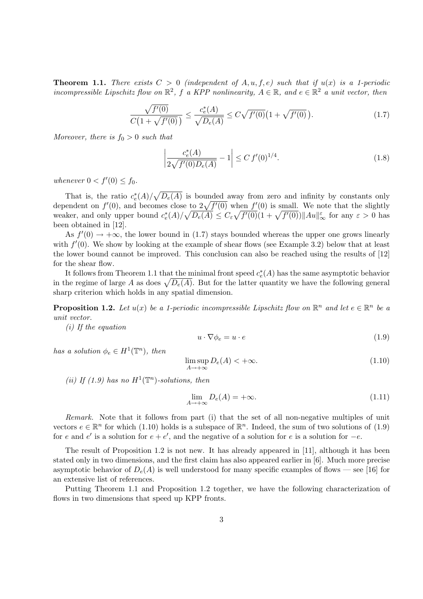**Theorem 1.1.** There exists  $C > 0$  (independent of  $A, u, f, e$ ) such that if  $u(x)$  is a 1-periodic incompressible Lipschitz flow on  $\mathbb{R}^2$ , f a KPP nonlinearity,  $A \in \mathbb{R}$ , and  $e \in \mathbb{R}^2$  a unit vector, then

$$
\frac{\sqrt{f'(0)}}{C(1+\sqrt{f'(0)})} \le \frac{c_e^*(A)}{\sqrt{D_e(A)}} \le C\sqrt{f'(0)}\left(1+\sqrt{f'(0)}\right). \tag{1.7}
$$

Moreover, there is  $f_0 > 0$  such that

$$
\left| \frac{c_e^*(A)}{2\sqrt{f'(0)D_e(A)}} - 1 \right| \le C f'(0)^{1/4}.
$$
\n(1.8)

whenever  $0 < f'(0) \le f_0$ .

That is, the ratio  $c_e^*(A)$ / p  $D_e(A)$  is bounded away from zero and infinity by constants only That is, the ratio  $c_e(A)/\sqrt{D_e(A)}$  is bounded away from zero and infinity by constants only<br>dependent on  $f'(0)$ , and becomes close to  $2\sqrt{f'(0)}$  when  $f'(0)$  is small. We note that the slightly dependent on  $f'(0)$ , and becomes close to  $2\sqrt{f'(0)}$  when  $f'(0)$  is small. We note that the slightly weaker, and only upper bound  $c_e^*(A)/\sqrt{D_e(A)} \leq C_{\varepsilon} \sqrt{f'(0)}(1+\sqrt{f'(0)}) ||Au||_{\infty}^{\varepsilon}$  for any  $\varepsilon > 0$  has been obtained in [12].

As  $f'(0) \rightarrow +\infty$ , the lower bound in (1.7) stays bounded whereas the upper one grows linearly with  $f'(0)$ . We show by looking at the example of shear flows (see Example 3.2) below that at least the lower bound cannot be improved. This conclusion can also be reached using the results of [12] for the shear flow.

It follows from Theorem 1.1 that the minimal front speed  $c_e^*(A)$  has the same asymptotic behavior It follows from 1 neorem 1.1 that the minimal front speed  $c_e(A)$  has the same asymptotic behavior<br>in the regime of large A as does  $\sqrt{D_e(A)}$ . But for the latter quantity we have the following general sharp criterion which holds in any spatial dimension.

**Proposition 1.2.** Let  $u(x)$  be a 1-periodic incompressible Lipschitz flow on  $\mathbb{R}^n$  and let  $e \in \mathbb{R}^n$  be a unit vector.

(i) If the equation

$$
u \cdot \nabla \phi_e = u \cdot e \tag{1.9}
$$

has a solution  $\phi_e \in H^1(\mathbb{T}^n)$ , then

$$
\limsup_{A \to +\infty} D_e(A) < +\infty. \tag{1.10}
$$

(ii) If (1.9) has no  $H^1(\mathbb{T}^n)$ -solutions, then

$$
\lim_{A \to +\infty} D_e(A) = +\infty. \tag{1.11}
$$

Remark. Note that it follows from part (i) that the set of all non-negative multiples of unit vectors  $e \in \mathbb{R}^n$  for which (1.10) holds is a subspace of  $\mathbb{R}^n$ . Indeed, the sum of two solutions of (1.9) for e and e' is a solution for  $e + e'$ , and the negative of a solution for e is a solution for  $-e$ .

The result of Proposition 1.2 is not new. It has already appeared in [11], although it has been stated only in two dimensions, and the first claim has also appeared earlier in [6]. Much more precise asymptotic behavior of  $D_e(A)$  is well understood for many specific examples of flows — see [16] for an extensive list of references.

Putting Theorem 1.1 and Proposition 1.2 together, we have the following characterization of flows in two dimensions that speed up KPP fronts.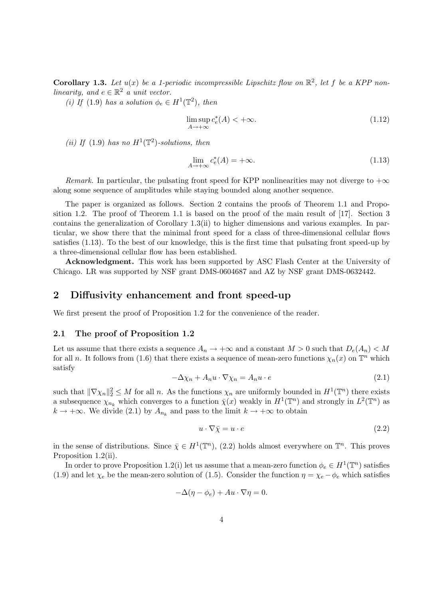**Corollary 1.3.** Let  $u(x)$  be a 1-periodic incompressible Lipschitz flow on  $\mathbb{R}^2$ , let f be a KPP nonlinearity, and  $e \in \mathbb{R}^2$  a unit vector.

(i) If (1.9) has a solution  $\phi_e \in H^1(\mathbb{T}^2)$ , then

$$
\limsup_{A \to +\infty} c_e^*(A) < +\infty. \tag{1.12}
$$

(ii) If (1.9) has no  $H^1(\mathbb{T}^2)$ -solutions, then

$$
\lim_{A \to +\infty} c_e^*(A) = +\infty. \tag{1.13}
$$

Remark. In particular, the pulsating front speed for KPP nonlinearities may not diverge to  $+\infty$ along some sequence of amplitudes while staying bounded along another sequence.

The paper is organized as follows. Section 2 contains the proofs of Theorem 1.1 and Proposition 1.2. The proof of Theorem 1.1 is based on the proof of the main result of [17]. Section 3 contains the generalization of Corollary 1.3(ii) to higher dimensions and various examples. In particular, we show there that the minimal front speed for a class of three-dimensional cellular flows satisfies (1.13). To the best of our knowledge, this is the first time that pulsating front speed-up by a three-dimensional cellular flow has been established.

Acknowledgment. This work has been supported by ASC Flash Center at the University of Chicago. LR was supported by NSF grant DMS-0604687 and AZ by NSF grant DMS-0632442.

### 2 Diffusivity enhancement and front speed-up

We first present the proof of Proposition 1.2 for the convenience of the reader.

#### 2.1 The proof of Proposition 1.2

Let us assume that there exists a sequence  $A_n \to +\infty$  and a constant  $M > 0$  such that  $D_e(A_n) < M$ for all n. It follows from (1.6) that there exists a sequence of mean-zero functions  $\chi_n(x)$  on  $\mathbb{T}^n$  which satisfy

$$
-\Delta \chi_n + A_n u \cdot \nabla \chi_n = A_n u \cdot e \tag{2.1}
$$

such that  $\|\nabla \chi_n\|_2^2 \leq M$  for all n. As the functions  $\chi_n$  are uniformly bounded in  $H^1(\mathbb{T}^n)$  there exists a subsequence  $\chi_{n_k}$  which converges to a function  $\bar{\chi}(x)$  weakly in  $H^1(\mathbb{T}^n)$  and strongly in  $L^2(\mathbb{T}^n)$  as  $k \to +\infty$ . We divide (2.1) by  $A_{n_k}$  and pass to the limit  $k \to +\infty$  to obtain

$$
u \cdot \nabla \bar{\chi} = u \cdot e \tag{2.2}
$$

in the sense of distributions. Since  $\bar{\chi} \in H^1(\mathbb{T}^n)$ , (2.2) holds almost everywhere on  $\mathbb{T}^n$ . This proves Proposition 1.2(ii).

In order to prove Proposition 1.2(i) let us assume that a mean-zero function  $\phi_e \in H^1(\mathbb{T}^n)$  satisfies (1.9) and let  $\chi_e$  be the mean-zero solution of (1.5). Consider the function  $\eta = \chi_e - \phi_e$  which satisfies

$$
-\Delta(\eta - \phi_e) + Au \cdot \nabla \eta = 0.
$$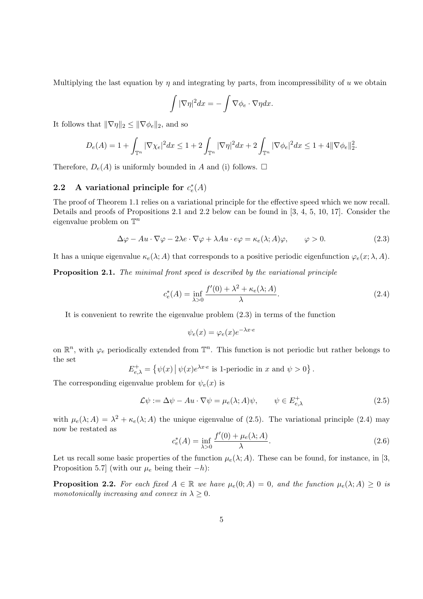Multiplying the last equation by  $\eta$  and integrating by parts, from incompressibility of u we obtain

$$
\int |\nabla \eta|^2 dx = -\int \nabla \phi_e \cdot \nabla \eta dx.
$$

It follows that  $\|\nabla \eta\|_2 \leq \|\nabla \phi_e\|_2$ , and so

$$
D_e(A) = 1 + \int_{\mathbb{T}^n} |\nabla \chi_e|^2 dx \le 1 + 2 \int_{\mathbb{T}^n} |\nabla \eta|^2 dx + 2 \int_{\mathbb{T}^n} |\nabla \phi_e|^2 dx \le 1 + 4 \|\nabla \phi_e\|_2^2.
$$

Therefore,  $D_e(A)$  is uniformly bounded in A and (i) follows.  $\Box$ 

# 2.2 A variational principle for  $c_e^*(A)$

The proof of Theorem 1.1 relies on a variational principle for the effective speed which we now recall. Details and proofs of Propositions 2.1 and 2.2 below can be found in [3, 4, 5, 10, 17]. Consider the eigenvalue problem on  $\mathbb{T}^n$ 

$$
\Delta \varphi - Au \cdot \nabla \varphi - 2\lambda e \cdot \nabla \varphi + \lambda Au \cdot e\varphi = \kappa_e(\lambda; A)\varphi, \qquad \varphi > 0. \tag{2.3}
$$

It has a unique eigenvalue  $\kappa_e(\lambda; A)$  that corresponds to a positive periodic eigenfunction  $\varphi_e(x; \lambda, A)$ .

Proposition 2.1. The minimal front speed is described by the variational principle

$$
c_e^*(A) = \inf_{\lambda > 0} \frac{f'(0) + \lambda^2 + \kappa_e(\lambda; A)}{\lambda}.
$$
\n(2.4)

It is convenient to rewrite the eigenvalue problem (2.3) in terms of the function

$$
\psi_e(x) = \varphi_e(x)e^{-\lambda x \cdot e}
$$

on  $\mathbb{R}^n$ , with  $\varphi_e$  periodically extended from  $\mathbb{T}^n$ . This function is not periodic but rather belongs to the set ©  $\overline{a}$ ª

$$
E_{e,\lambda}^{+} = \left\{ \psi(x) \, \middle| \, \psi(x)e^{\lambda x \cdot e} \text{ is 1-periodic in } x \text{ and } \psi > 0 \right\}.
$$

The corresponding eigenvalue problem for  $\psi_e(x)$  is

$$
\mathcal{L}\psi := \Delta \psi - Au \cdot \nabla \psi = \mu_e(\lambda; A)\psi, \qquad \psi \in E^+_{e,\lambda}
$$
\n(2.5)

with  $\mu_e(\lambda; A) = \lambda^2 + \kappa_e(\lambda; A)$  the unique eigenvalue of (2.5). The variational principle (2.4) may now be restated as

$$
c_e^*(A) = \inf_{\lambda > 0} \frac{f'(0) + \mu_e(\lambda; A)}{\lambda}.
$$
\n(2.6)

Let us recall some basic properties of the function  $\mu_e(\lambda; A)$ . These can be found, for instance, in [3, Proposition 5.7] (with our  $\mu_e$  being their −h):

**Proposition 2.2.** For each fixed  $A \in \mathbb{R}$  we have  $\mu_e(0; A) = 0$ , and the function  $\mu_e(\lambda; A) \geq 0$  is monotonically increasing and convex in  $\lambda \geq 0$ .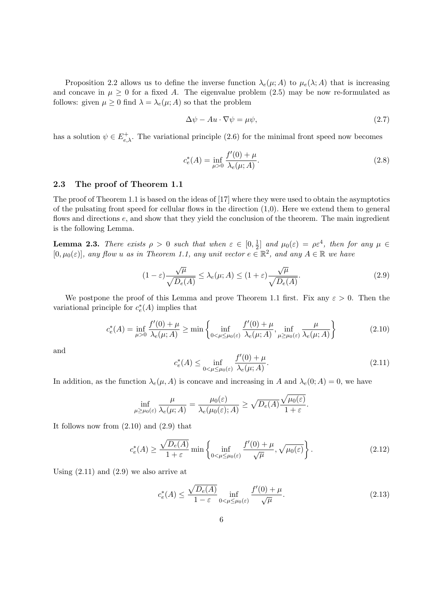Proposition 2.2 allows us to define the inverse function  $\lambda_e(\mu; A)$  to  $\mu_e(\lambda; A)$  that is increasing and concave in  $\mu \geq 0$  for a fixed A. The eigenvalue problem (2.5) may be now re-formulated as follows: given  $\mu \geq 0$  find  $\lambda = \lambda_e(\mu; A)$  so that the problem

$$
\Delta \psi - Au \cdot \nabla \psi = \mu \psi,\tag{2.7}
$$

has a solution  $\psi \in E^+_{e,\lambda}$ . The variational principle (2.6) for the minimal front speed now becomes

$$
c_e^*(A) = \inf_{\mu > 0} \frac{f'(0) + \mu}{\lambda_e(\mu; A)}.
$$
\n(2.8)

#### 2.3 The proof of Theorem 1.1

The proof of Theorem 1.1 is based on the ideas of [17] where they were used to obtain the asymptotics of the pulsating front speed for cellular flows in the direction  $(1,0)$ . Here we extend them to general flows and directions e, and show that they yield the conclusion of the theorem. The main ingredient is the following Lemma.

**Lemma 2.3.** There exists  $\rho > 0$  such that when  $\varepsilon \in [0, \frac{1}{2}]$  $\frac{1}{2}$  and  $\mu_0(\varepsilon) = \rho \varepsilon^4$ , then for any  $\mu \in$  $[0, \mu_0(\varepsilon)]$ , any flow u as in Theorem 1.1, any unit vector  $e \in \mathbb{R}^2$ , and any  $A \in \mathbb{R}$  we have

$$
(1 - \varepsilon) \frac{\sqrt{\mu}}{\sqrt{D_e(A)}} \le \lambda_e(\mu; A) \le (1 + \varepsilon) \frac{\sqrt{\mu}}{\sqrt{D_e(A)}}.
$$
\n(2.9)

We postpone the proof of this Lemma and prove Theorem 1.1 first. Fix any  $\varepsilon > 0$ . Then the variational principle for  $c_e^*(A)$  implies that

$$
c_e^*(A) = \inf_{\mu>0} \frac{f'(0) + \mu}{\lambda_e(\mu; A)} \ge \min \left\{ \inf_{0 < \mu \le \mu_0(\varepsilon)} \frac{f'(0) + \mu}{\lambda_e(\mu; A)}, \inf_{\mu \ge \mu_0(\varepsilon)} \frac{\mu}{\lambda_e(\mu; A)} \right\} \tag{2.10}
$$

and

$$
c_e^*(A) \le \inf_{0 < \mu \le \mu_0(\varepsilon)} \frac{f'(0) + \mu}{\lambda_e(\mu; A)}.\tag{2.11}
$$

In addition, as the function  $\lambda_e(\mu, A)$  is concave and increasing in A and  $\lambda_e(0; A) = 0$ , we have

$$
\inf_{\mu \ge \mu_0(\varepsilon)} \frac{\mu}{\lambda_e(\mu; A)} = \frac{\mu_0(\varepsilon)}{\lambda_e(\mu_0(\varepsilon); A)} \ge \sqrt{D_e(A)} \frac{\sqrt{\mu_0(\varepsilon)}}{1 + \varepsilon}.
$$

It follows now from (2.10) and (2.9) that

$$
c_e^*(A) \ge \frac{\sqrt{D_e(A)}}{1+\varepsilon} \min \left\{ \inf_{0 \le \mu \le \mu_0(\varepsilon)} \frac{f'(0) + \mu}{\sqrt{\mu}}, \sqrt{\mu_0(\varepsilon)} \right\}.
$$
 (2.12)

Using  $(2.11)$  and  $(2.9)$  we also arrive at

$$
c_e^*(A) \le \frac{\sqrt{D_e(A)}}{1 - \varepsilon} \inf_{0 < \mu \le \mu_0(\varepsilon)} \frac{f'(0) + \mu}{\sqrt{\mu}}.\tag{2.13}
$$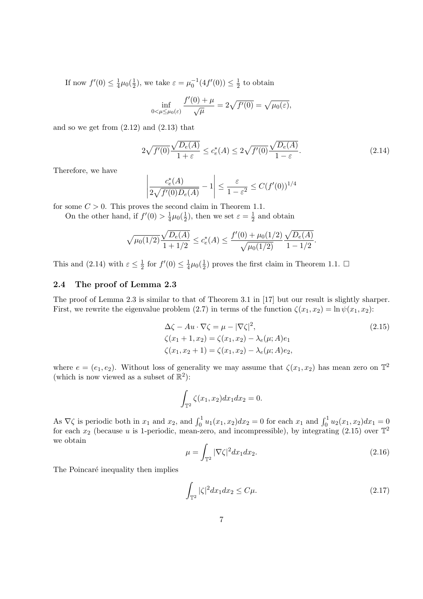If now  $f'(0) \leq \frac{1}{4}$  $rac{1}{4}\mu_0(\frac{1}{2})$  $(\frac{1}{2})$ , we take  $\varepsilon = \mu_0^{-1}(4f'(0)) \leq \frac{1}{2}$  $\frac{1}{2}$  to obtain

$$
\inf_{0<\mu\leq\mu_0(\varepsilon)}\frac{f'(0)+\mu}{\sqrt{\mu}}=2\sqrt{f'(0)}=\sqrt{\mu_0(\varepsilon)},
$$

and so we get from  $(2.12)$  and  $(2.13)$  that

$$
2\sqrt{f'(0)}\frac{\sqrt{D_e(A)}}{1+\varepsilon} \le c_e^*(A) \le 2\sqrt{f'(0)}\frac{\sqrt{D_e(A)}}{1-\varepsilon}.\tag{2.14}
$$

Therefore, we have

$$
\left|\frac{c_e^*(A)}{2\sqrt{f'(0)D_e(A)}} - 1\right| \le \frac{\varepsilon}{1 - \varepsilon^2} \le C(f'(0))^{1/4}
$$

for some  $C > 0$ . This proves the second claim in Theorem 1.1.

On the other hand, if  $f'(0) > \frac{1}{4}$  $rac{1}{4}\mu_0(\frac{1}{2})$  $(\frac{1}{2})$ , then we set  $\varepsilon = \frac{1}{2}$  $\frac{1}{2}$  and obtain

$$
\sqrt{\mu_0(1/2)}\frac{\sqrt{D_e(A)}}{1+1/2} \le c_e^*(A) \le \frac{f'(0) + \mu_0(1/2)}{\sqrt{\mu_0(1/2)}}\frac{\sqrt{D_e(A)}}{1-1/2}.
$$

This and (2.14) with  $\varepsilon \leq \frac{1}{2}$  $\frac{1}{2}$  for  $f'(0) \leq \frac{1}{4}$  $\frac{1}{4}\mu_0(\frac{1}{2})$  $\frac{1}{2}$ ) proves the first claim in Theorem 1.1.  $\Box$ 

#### 2.4 The proof of Lemma 2.3

The proof of Lemma 2.3 is similar to that of Theorem 3.1 in [17] but our result is slightly sharper. First, we rewrite the eigenvalue problem (2.7) in terms of the function  $\zeta(x_1, x_2) = \ln \psi(x_1, x_2)$ :

$$
\Delta \zeta - Au \cdot \nabla \zeta = \mu - |\nabla \zeta|^2,
$$
  
\n
$$
\zeta(x_1 + 1, x_2) = \zeta(x_1, x_2) - \lambda_e(\mu; A)e_1
$$
  
\n
$$
\zeta(x_1, x_2 + 1) = \zeta(x_1, x_2) - \lambda_e(\mu; A)e_2,
$$
\n(2.15)

where  $e = (e_1, e_2)$ . Without loss of generality we may assume that  $\zeta(x_1, x_2)$  has mean zero on  $\mathbb{T}^2$ (which is now viewed as a subset of  $\mathbb{R}^2$ ):

$$
\int_{\mathbb{T}^2} \zeta(x_1, x_2) dx_1 dx_2 = 0.
$$

As  $\nabla \zeta$  is periodic both in  $x_1$  and  $x_2$ , and  $\int_0^1 u_1(x_1, x_2) dx_2 = 0$  for each  $x_1$  and  $\int_0^1 u_2(x_1, x_2) dx_1 = 0$ for each  $x_2$  (because u is 1-periodic, mean-zero, and incompressible), by integrating (2.15) over  $\mathbb{T}^2$ we obtain

$$
\mu = \int_{\mathbb{T}^2} |\nabla \zeta|^2 dx_1 dx_2.
$$
\n(2.16)

The Poincaré inequality then implies

$$
\int_{\mathbb{T}^2} |\zeta|^2 dx_1 dx_2 \le C\mu. \tag{2.17}
$$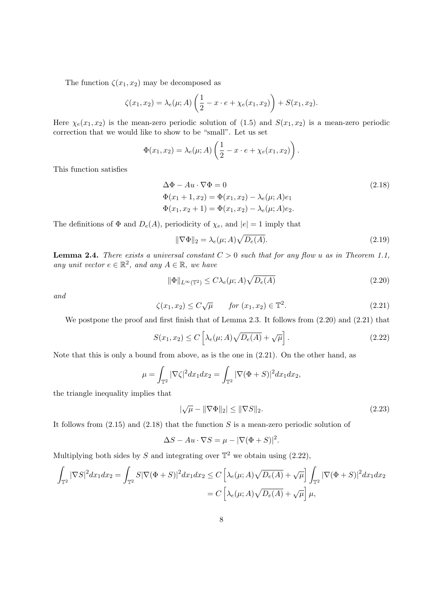The function  $\zeta(x_1, x_2)$  may be decomposed as

$$
\zeta(x_1, x_2) = \lambda_e(\mu; A) \left( \frac{1}{2} - x \cdot e + \chi_e(x_1, x_2) \right) + S(x_1, x_2).
$$

Here  $\chi_e(x_1, x_2)$  is the mean-zero periodic solution of (1.5) and  $S(x_1, x_2)$  is a mean-zero periodic correction that we would like to show to be "small". Let us set

$$
\Phi(x_1, x_2) = \lambda_e(\mu; A) \left(\frac{1}{2} - x \cdot e + \chi_e(x_1, x_2)\right)
$$

This function satisfies

$$
\Delta \Phi - Au \cdot \nabla \Phi = 0
$$
\n
$$
\Phi(x_1 + 1, x_2) = \Phi(x_1, x_2) - \lambda_e(\mu; A)e_1
$$
\n
$$
\Phi(x_1, x_2 + 1) = \Phi(x_1, x_2) - \lambda_e(\mu; A)e_2.
$$
\n(2.18)

.

The definitions of  $\Phi$  and  $D_e(A)$ , periodicity of  $\chi_e$ , and  $|e|=1$  imply that

$$
\|\nabla\Phi\|_2 = \lambda_e(\mu; A)\sqrt{D_e(A)}.
$$
\n(2.19)

**Lemma 2.4.** There exists a universal constant  $C > 0$  such that for any flow u as in Theorem 1.1, any unit vector  $e \in \mathbb{R}^2$ , and any  $A \in \mathbb{R}$ , we have

$$
\|\Phi\|_{L^{\infty}(\mathbb{T}^2)} \le C\lambda_e(\mu; A)\sqrt{D_e(A)}\tag{2.20}
$$

and

$$
\zeta(x_1, x_2) \le C\sqrt{\mu} \qquad \text{for } (x_1, x_2) \in \mathbb{T}^2. \tag{2.21}
$$

We postpone the proof and first finish that of Lemma 2.3. It follows from (2.20) and (2.21) that

$$
S(x_1, x_2) \le C \left[ \lambda_e(\mu; A) \sqrt{D_e(A)} + \sqrt{\mu} \right]. \tag{2.22}
$$

Note that this is only a bound from above, as is the one in (2.21). On the other hand, as

$$
\mu = \int_{\mathbb{T}^2} |\nabla \zeta|^2 dx_1 dx_2 = \int_{\mathbb{T}^2} |\nabla (\Phi + S)|^2 dx_1 dx_2,
$$

the triangle inequality implies that

$$
|\sqrt{\mu} - \|\nabla\Phi\|_2| \le \|\nabla S\|_2. \tag{2.23}
$$

It follows from  $(2.15)$  and  $(2.18)$  that the function S is a mean-zero periodic solution of

$$
\Delta S - Au \cdot \nabla S = \mu - |\nabla(\Phi + S)|^2.
$$

Multiplying both sides by S and integrating over  $\mathbb{T}^2$  we obtain using  $(2.22)$ ,

$$
\int_{\mathbb{T}^2} |\nabla S|^2 dx_1 dx_2 = \int_{\mathbb{T}^2} S |\nabla (\Phi + S)|^2 dx_1 dx_2 \le C \left[ \lambda_e(\mu; A) \sqrt{D_e(A)} + \sqrt{\mu} \right] \int_{\mathbb{T}^2} |\nabla (\Phi + S)|^2 dx_1 dx_2
$$
  
=  $C \left[ \lambda_e(\mu; A) \sqrt{D_e(A)} + \sqrt{\mu} \right] \mu$ ,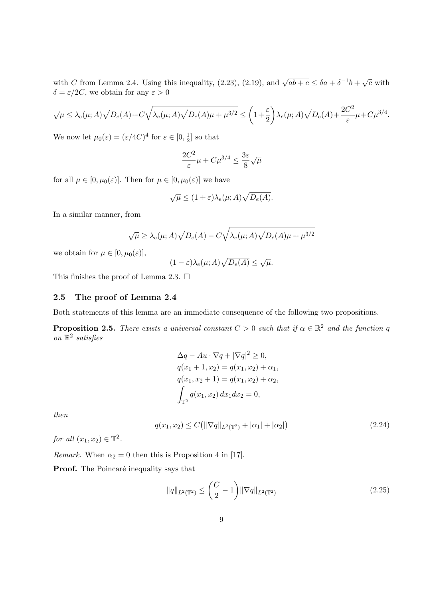with C from Lemma 2.4. Using this inequality, (2.23), (2.19), and  $\sqrt{ab+c} \leq \delta a + \delta^{-1}b + \sqrt{c}$  with  $\delta = \varepsilon/2C$ , we obtain for any  $\varepsilon > 0$ 

$$
\sqrt{\mu} \leq \lambda_e(\mu; A) \sqrt{D_e(A)} + C \sqrt{\lambda_e(\mu; A) \sqrt{D_e(A)} \mu + \mu^{3/2}} \leq \left(1 + \frac{\varepsilon}{2}\right) \lambda_e(\mu; A) \sqrt{D_e(A)} + \frac{2C^2}{\varepsilon} \mu + C \mu^{3/4}.
$$

We now let  $\mu_0(\varepsilon) = (\varepsilon/4C)^4$  for  $\varepsilon \in [0, \frac{1}{2}]$  $\frac{1}{2}$  so that

$$
\frac{2C^2}{\varepsilon}\mu + C\mu^{3/4} \le \frac{3\varepsilon}{8}\sqrt{\mu}
$$

for all  $\mu \in [0, \mu_0(\varepsilon)]$ . Then for  $\mu \in [0, \mu_0(\varepsilon)]$  we have

$$
\sqrt{\mu} \le (1+\varepsilon)\lambda_e(\mu;A)\sqrt{D_e(A)}.
$$

In a similar manner, from

$$
\sqrt{\mu} \ge \lambda_e(\mu; A) \sqrt{D_e(A)} - C \sqrt{\lambda_e(\mu; A) \sqrt{D_e(A)} \mu + \mu^{3/2}}
$$

we obtain for  $\mu \in [0, \mu_0(\varepsilon)],$ 

$$
(1 - \varepsilon)\lambda_e(\mu; A)\sqrt{D_e(A)} \le \sqrt{\mu}.
$$

This finishes the proof of Lemma 2.3.  $\Box$ 

#### 2.5 The proof of Lemma 2.4

Both statements of this lemma are an immediate consequence of the following two propositions.

**Proposition 2.5.** There exists a universal constant  $C > 0$  such that if  $\alpha \in \mathbb{R}^2$  and the function q on  $\mathbb{R}^2$  satisfies

$$
\Delta q - Au \cdot \nabla q + |\nabla q|^2 \ge 0,
$$
  
\n
$$
q(x_1 + 1, x_2) = q(x_1, x_2) + \alpha_1,
$$
  
\n
$$
q(x_1, x_2 + 1) = q(x_1, x_2) + \alpha_2,
$$
  
\n
$$
\int_{\mathbb{T}^2} q(x_1, x_2) dx_1 dx_2 = 0,
$$

then

$$
q(x_1, x_2) \le C \left( \|\nabla q\|_{L^2(\mathbb{T}^2)} + |\alpha_1| + |\alpha_2| \right) \tag{2.24}
$$

for all  $(x_1, x_2) \in \mathbb{T}^2$ .

*Remark.* When  $\alpha_2 = 0$  then this is Proposition 4 in [17].

**Proof.** The Poincaré inequality says that

$$
||q||_{L^{2}(\mathbb{T}^{2})} \leq \left(\frac{C}{2} - 1\right) ||\nabla q||_{L^{2}(\mathbb{T}^{2})}
$$
\n(2.25)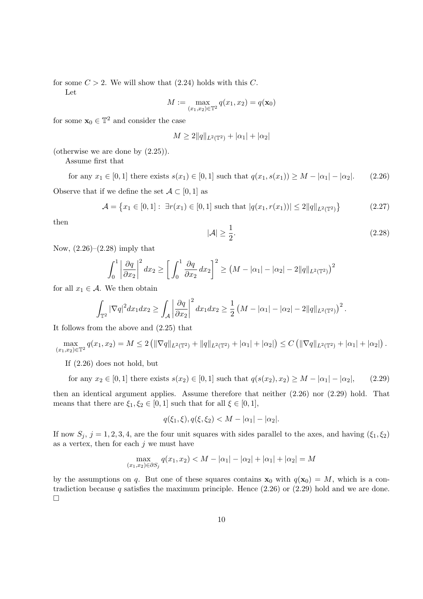for some  $C > 2$ . We will show that  $(2.24)$  holds with this C.

Let

$$
M:=\max_{(x_1,x_2)\in\mathbb{T}^2}q(x_1,x_2)=q({\bf x}_0)
$$

for some  $\mathbf{x}_0 \in \mathbb{T}^2$  and consider the case

$$
M \ge 2||q||_{L^2(\mathbb{T}^2)} + |\alpha_1| + |\alpha_2|
$$

(otherwise we are done by (2.25)).

Assume first that

for any  $x_1 \in [0, 1]$  there exists  $s(x_1) \in [0, 1]$  such that  $q(x_1, s(x_1)) \geq M - |\alpha_1| - |\alpha_2|$ . (2.26)

Observe that if we define the set  $A \subset [0,1]$  as

$$
\mathcal{A} = \{x_1 \in [0, 1]: \exists r(x_1) \in [0, 1] \text{ such that } |q(x_1, r(x_1))| \le 2||q||_{L^2(\mathbb{T}^2)}\}
$$
(2.27)

then

$$
|\mathcal{A}| \ge \frac{1}{2}.\tag{2.28}
$$

Now,  $(2.26)$ – $(2.28)$  imply that

$$
\int_0^1 \left| \frac{\partial q}{\partial x_2} \right|^2 dx_2 \ge \left[ \int_0^1 \frac{\partial q}{\partial x_2} dx_2 \right]^2 \ge \left( M - |\alpha_1| - |\alpha_2| - 2||q||_{L^2(\mathbb{T}^2)} \right)^2
$$

for all  $x_1 \in \mathcal{A}$ . We then obtain

$$
\int_{\mathbb{T}^2} |\nabla q|^2 dx_1 dx_2 \geq \int_{\mathcal{A}} \left| \frac{\partial q}{\partial x_2} \right|^2 dx_1 dx_2 \geq \frac{1}{2} \left( M - |\alpha_1| - |\alpha_2| - 2 \|q\|_{L^2(\mathbb{T}^2)} \right)^2.
$$

It follows from the above and (2.25) that

$$
\max_{(x_1,x_2)\in\mathbb{T}^2} q(x_1,x_2) = M \le 2 \left( \|\nabla q\|_{L^2(\mathbb{T}^2)} + \|q\|_{L^2(\mathbb{T}^2)} + |\alpha_1| + |\alpha_2| \right) \le C \left( \|\nabla q\|_{L^2(\mathbb{T}^2)} + |\alpha_1| + |\alpha_2| \right).
$$

If (2.26) does not hold, but

for any 
$$
x_2 \in [0, 1]
$$
 there exists  $s(x_2) \in [0, 1]$  such that  $q(s(x_2), x_2) \ge M - |\alpha_1| - |\alpha_2|$ , (2.29)

then an identical argument applies. Assume therefore that neither (2.26) nor (2.29) hold. That means that there are  $\xi_1, \xi_2 \in [0, 1]$  such that for all  $\xi \in [0, 1]$ ,

$$
q(\xi_1, \xi), q(\xi, \xi_2) < M - |\alpha_1| - |\alpha_2|.
$$

If now  $S_j$ ,  $j = 1, 2, 3, 4$ , are the four unit squares with sides parallel to the axes, and having  $(\xi_1, \xi_2)$ as a vertex, then for each  $j$  we must have

$$
\max_{(x_1, x_2) \in \partial S_j} q(x_1, x_2) < M - |\alpha_1| - |\alpha_2| + |\alpha_1| + |\alpha_2| = M
$$

by the assumptions on q. But one of these squares contains  $x_0$  with  $q(x_0) = M$ , which is a contradiction because q satisfies the maximum principle. Hence  $(2.26)$  or  $(2.29)$  hold and we are done.  $\Box$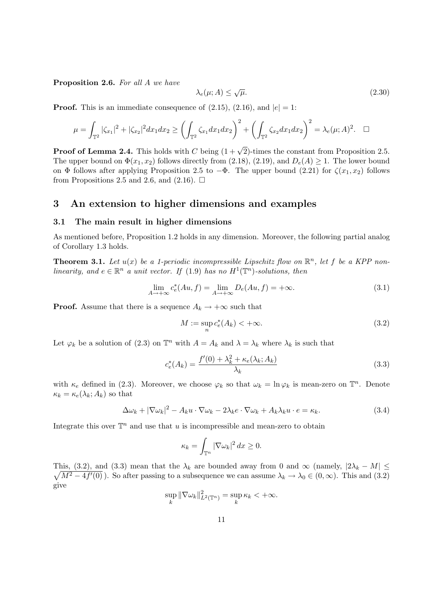Proposition 2.6. For all A we have

$$
\lambda_e(\mu; A) \le \sqrt{\mu}.\tag{2.30}
$$

**Proof.** This is an immediate consequence of  $(2.15)$ ,  $(2.16)$ , and  $|e|=1$ :

$$
\mu = \int_{\mathbb{T}^2} |\zeta_{x_1}|^2 + |\zeta_{x_2}|^2 dx_1 dx_2 \ge \left(\int_{\mathbb{T}^2} \zeta_{x_1} dx_1 dx_2\right)^2 + \left(\int_{\mathbb{T}^2} \zeta_{x_2} dx_1 dx_2\right)^2 = \lambda_e(\mu; A)^2. \quad \Box
$$

**Proof of Lemma 2.4.** This holds with C being  $(1 + \sqrt{2})$ -times the constant from Proposition 2.5. The upper bound on  $\Phi(x_1, x_2)$  follows directly from (2.18), (2.19), and  $D_e(A) \geq 1$ . The lower bound on Φ follows after applying Proposition 2.5 to  $-\Phi$ . The upper bound (2.21) for  $\zeta(x_1, x_2)$  follows from Propositions 2.5 and 2.6, and  $(2.16)$ .  $\Box$ 

# 3 An extension to higher dimensions and examples

#### 3.1 The main result in higher dimensions

As mentioned before, Proposition 1.2 holds in any dimension. Moreover, the following partial analog of Corollary 1.3 holds.

**Theorem 3.1.** Let  $u(x)$  be a 1-periodic incompressible Lipschitz flow on  $\mathbb{R}^n$ , let f be a KPP nonlinearity, and  $e \in \mathbb{R}^n$  a unit vector. If (1.9) has no  $H^1(\mathbb{T}^n)$ -solutions, then

$$
\lim_{A \to +\infty} c_e^*(Au, f) = \lim_{A \to +\infty} D_e(Au, f) = +\infty.
$$
\n(3.1)

**Proof.** Assume that there is a sequence  $A_k \to +\infty$  such that

$$
M := \sup_{n} c_e^*(A_k) < +\infty. \tag{3.2}
$$

Let  $\varphi_k$  be a solution of (2.3) on  $\mathbb{T}^n$  with  $A = A_k$  and  $\lambda = \lambda_k$  where  $\lambda_k$  is such that

$$
c_e^*(A_k) = \frac{f'(0) + \lambda_k^2 + \kappa_e(\lambda_k; A_k)}{\lambda_k}
$$
\n(3.3)

with  $\kappa_e$  defined in (2.3). Moreover, we choose  $\varphi_k$  so that  $\omega_k = \ln \varphi_k$  is mean-zero on  $\mathbb{T}^n$ . Denote  $\kappa_k = \kappa_e(\lambda_k; A_k)$  so that

$$
\Delta \omega_k + |\nabla \omega_k|^2 - A_k u \cdot \nabla \omega_k - 2\lambda_k e \cdot \nabla \omega_k + A_k \lambda_k u \cdot e = \kappa_k. \tag{3.4}
$$

Integrate this over  $\mathbb{T}^n$  and use that u is incompressible and mean-zero to obtain

$$
\kappa_k = \int_{\mathbb{T}^n} |\nabla \omega_k|^2 dx \ge 0.
$$

This, (3.2), and (3.3) mean that the  $\lambda_k$  are bounded away from 0 and ∞ (namely,  $|2\lambda_k - M| \le$  $\overline{M^2 - 4f'(0)}$ . So after passing to a subsequence we can assume  $\lambda_k \to \lambda_0 \in (0, \infty)$ . This and  $(3.2)$ give

$$
\sup_{k} \|\nabla \omega_{k}\|_{L^{2}(\mathbb{T}^{n})}^{2} = \sup_{k} \kappa_{k} < +\infty.
$$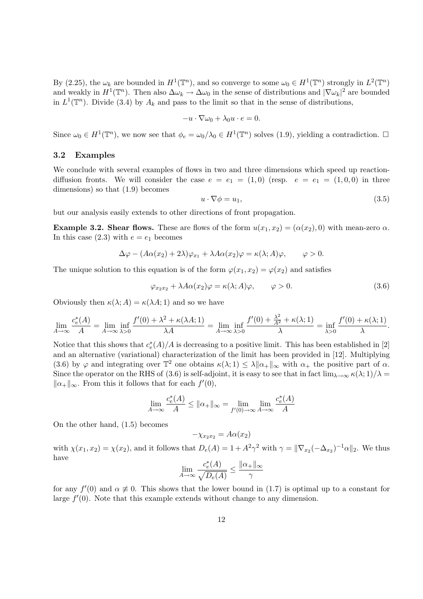By (2.25), the  $\omega_k$  are bounded in  $H^1(\mathbb{T}^n)$ , and so converge to some  $\omega_0 \in H^1(\mathbb{T}^n)$  strongly in  $L^2(\mathbb{T}^n)$ and weakly in  $H^1(\mathbb{T}^n)$ . Then also  $\Delta \omega_k \to \Delta \omega_0$  in the sense of distributions and  $|\nabla \omega_k|^2$  are bounded in  $L^1(\mathbb{T}^n)$ . Divide (3.4) by  $A_k$  and pass to the limit so that in the sense of distributions,

$$
-u\cdot\nabla\omega_0 + \lambda_0 u\cdot e = 0.
$$

Since  $\omega_0 \in H^1(\mathbb{T}^n)$ , we now see that  $\phi_e = \omega_0/\lambda_0 \in H^1(\mathbb{T}^n)$  solves (1.9), yielding a contradiction.  $\Box$ 

#### 3.2 Examples

We conclude with several examples of flows in two and three dimensions which speed up reactiondiffusion fronts. We will consider the case  $e = e_1 = (1,0)$  (resp.  $e = e_1 = (1,0,0)$  in three dimensions) so that (1.9) becomes

$$
u \cdot \nabla \phi = u_1,\tag{3.5}
$$

but our analysis easily extends to other directions of front propagation.

**Example 3.2. Shear flows.** These are flows of the form  $u(x_1, x_2) = (\alpha(x_2), 0)$  with mean-zero  $\alpha$ . In this case (2.3) with  $e = e_1$  becomes

$$
\Delta \varphi - (A\alpha(x_2) + 2\lambda)\varphi_{x_1} + \lambda A\alpha(x_2)\varphi = \kappa(\lambda; A)\varphi, \qquad \varphi > 0.
$$

The unique solution to this equation is of the form  $\varphi(x_1, x_2) = \varphi(x_2)$  and satisfies

$$
\varphi_{x_2x_2} + \lambda A \alpha(x_2) \varphi = \kappa(\lambda; A) \varphi, \qquad \varphi > 0.
$$
\n(3.6)

Obviously then  $\kappa(\lambda; A) = \kappa(\lambda A; 1)$  and so we have

$$
\lim_{A \to \infty} \frac{c_e^*(A)}{A} = \lim_{A \to \infty} \inf_{\lambda > 0} \frac{f'(0) + \lambda^2 + \kappa(\lambda A; 1)}{\lambda A} = \lim_{A \to \infty} \inf_{\lambda > 0} \frac{f'(0) + \frac{\lambda^2}{A^2} + \kappa(\lambda; 1)}{\lambda} = \inf_{\lambda > 0} \frac{f'(0) + \kappa(\lambda; 1)}{\lambda}.
$$

Notice that this shows that  $c_e^*(A)/A$  is decreasing to a positive limit. This has been established in [2] and an alternative (variational) characterization of the limit has been provided in [12]. Multiplying (3.6) by  $\varphi$  and integrating over  $\mathbb{T}^2$  one obtains  $\kappa(\lambda; 1) \leq \lambda ||\alpha_+||_{\infty}$  with  $\alpha_+$  the positive part of  $\alpha$ . Since the operator on the RHS of (3.6) is self-adjoint, it is easy to see that in fact  $\lim_{\lambda\to\infty} \kappa(\lambda;1)/\lambda$  $\|\alpha_+\|_{\infty}$ . From this it follows that for each  $f'(0)$ ,

$$
\lim_{A\to\infty}\frac{c^*_e(A)}{A}\leq \|\alpha_+\|_\infty=\lim_{f'(0)\to\infty}\lim_{A\to\infty}\frac{c^*_e(A)}{A}
$$

On the other hand, (1.5) becomes

$$
-\chi_{x_2x_2} = A\alpha(x_2)
$$

with  $\chi(x_1, x_2) = \chi(x_2)$ , and it follows that  $D_e(A) = 1 + A^2 \gamma^2$  with  $\gamma = ||\nabla_{x_2}(-\Delta_{x_2})^{-1}\alpha||_2$ . We thus have ∗

$$
\lim_{A \to \infty} \frac{c_e^*(A)}{\sqrt{D_e(A)}} \le \frac{\|\alpha_+\|_{\infty}}{\gamma}
$$

for any  $f'(0)$  and  $\alpha \neq 0$ . This shows that the lower bound in (1.7) is optimal up to a constant for large  $f'(0)$ . Note that this example extends without change to any dimension.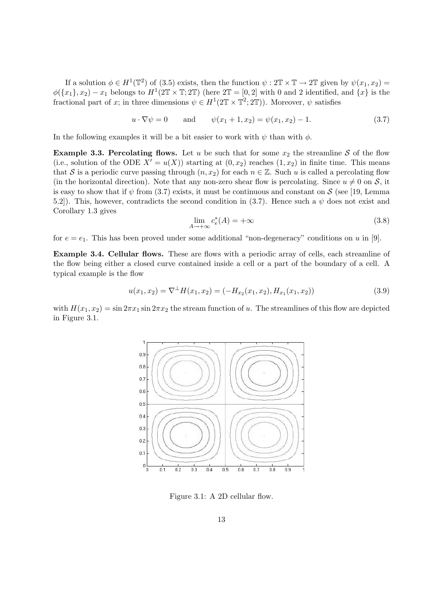If a solution  $\phi \in H^1(\mathbb{T}^2)$  of (3.5) exists, then the function  $\psi : 2\mathbb{T} \times \mathbb{T} \to 2\mathbb{T}$  given by  $\psi(x_1, x_2) =$  $\phi({x_1}, {x_2}) - x_1$  belongs to  $H^1(2\mathbb{T} \times \mathbb{T}; 2\mathbb{T})$  (here  $2\mathbb{T} = [0, 2]$  with 0 and 2 identified, and  ${x}$  is the fractional part of x; in three dimensions  $\psi \in H^1(2\mathbb{T} \times \mathbb{T}^2; 2\mathbb{T})$ ). Moreover,  $\psi$  satisfies

$$
u \cdot \nabla \psi = 0
$$
 and  $\psi(x_1 + 1, x_2) = \psi(x_1, x_2) - 1.$  (3.7)

In the following examples it will be a bit easier to work with  $\psi$  than with  $\phi$ .

**Example 3.3. Percolating flows.** Let u be such that for some  $x_2$  the streamline S of the flow (i.e., solution of the ODE  $X' = u(X)$ ) starting at  $(0, x_2)$  reaches  $(1, x_2)$  in finite time. This means that S is a periodic curve passing through  $(n, x_2)$  for each  $n \in \mathbb{Z}$ . Such u is called a percolating flow (in the horizontal direction). Note that any non-zero shear flow is percolating. Since  $u \neq 0$  on S, it is easy to show that if  $\psi$  from (3.7) exists, it must be continuous and constant on S (see [19, Lemma 5.2]). This, however, contradicts the second condition in (3.7). Hence such a  $\psi$  does not exist and Corollary 1.3 gives

$$
\lim_{A \to +\infty} c_e^*(A) = +\infty \tag{3.8}
$$

for  $e = e_1$ . This has been proved under some additional "non-degeneracy" conditions on u in [9].

Example 3.4. Cellular flows. These are flows with a periodic array of cells, each streamline of the flow being either a closed curve contained inside a cell or a part of the boundary of a cell. A typical example is the flow

$$
u(x_1, x_2) = \nabla^{\perp} H(x_1, x_2) = (-H_{x_2}(x_1, x_2), H_{x_1}(x_1, x_2))
$$
\n(3.9)

with  $H(x_1, x_2) = \sin 2\pi x_1 \sin 2\pi x_2$  the stream function of u. The streamlines of this flow are depicted in Figure 3.1.



Figure 3.1: A 2D cellular flow.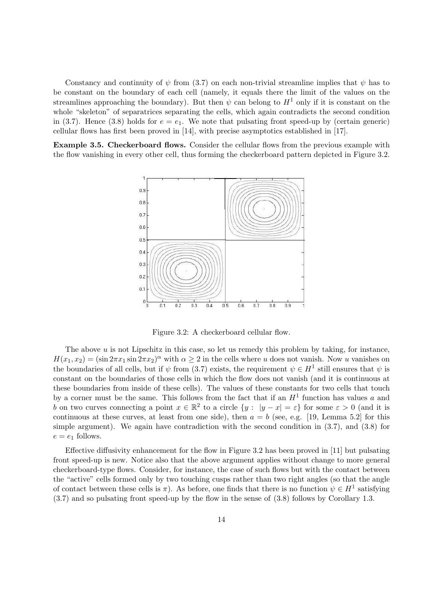Constancy and continuity of  $\psi$  from (3.7) on each non-trivial streamline implies that  $\psi$  has to be constant on the boundary of each cell (namely, it equals there the limit of the values on the streamlines approaching the boundary). But then  $\psi$  can belong to  $H^1$  only if it is constant on the whole "skeleton" of separatrices separating the cells, which again contradicts the second condition in (3.7). Hence (3.8) holds for  $e = e_1$ . We note that pulsating front speed-up by (certain generic) cellular flows has first been proved in [14], with precise asymptotics established in [17].

Example 3.5. Checkerboard flows. Consider the cellular flows from the previous example with the flow vanishing in every other cell, thus forming the checkerboard pattern depicted in Figure 3.2.



Figure 3.2: A checkerboard cellular flow.

The above  $u$  is not Lipschitz in this case, so let us remedy this problem by taking, for instance,  $H(x_1, x_2) = (\sin 2\pi x_1 \sin 2\pi x_2)^{\alpha}$  with  $\alpha \ge 2$  in the cells where u does not vanish. Now u vanishes on the boundaries of all cells, but if  $\psi$  from (3.7) exists, the requirement  $\psi \in H^1$  still ensures that  $\psi$  is constant on the boundaries of those cells in which the flow does not vanish (and it is continuous at these boundaries from inside of these cells). The values of these constants for two cells that touch by a corner must be the same. This follows from the fact that if an  $H<sup>1</sup>$  function has values a and b on two curves connecting a point  $x \in \mathbb{R}^2$  to a circle  $\{y : |y - x| = \varepsilon\}$  for some  $\varepsilon > 0$  (and it is continuous at these curves, at least from one side), then  $a = b$  (see, e.g. [19, Lemma 5.2] for this simple argument). We again have contradiction with the second condition in (3.7), and (3.8) for  $e = e_1$  follows.

Effective diffusivity enhancement for the flow in Figure 3.2 has been proved in [11] but pulsating front speed-up is new. Notice also that the above argument applies without change to more general checkerboard-type flows. Consider, for instance, the case of such flows but with the contact between the "active" cells formed only by two touching cusps rather than two right angles (so that the angle of contact between these cells is  $\pi$ ). As before, one finds that there is no function  $\psi \in H^1$  satisfying (3.7) and so pulsating front speed-up by the flow in the sense of (3.8) follows by Corollary 1.3.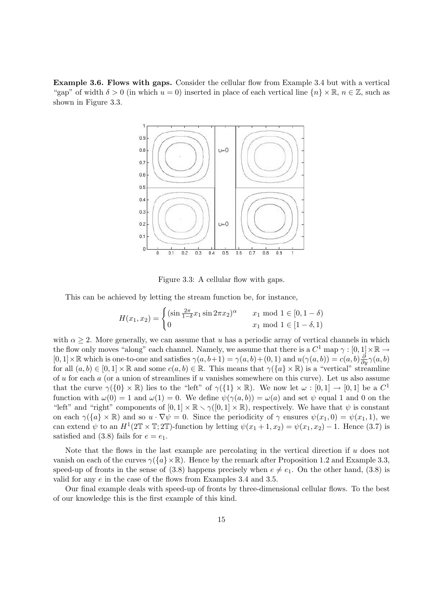Example 3.6. Flows with gaps. Consider the cellular flow from Example 3.4 but with a vertical "gap" of width  $\delta > 0$  (in which  $u = 0$ ) inserted in place of each vertical line  $\{n\} \times \mathbb{R}, n \in \mathbb{Z}$ , such as shown in Figure 3.3.



Figure 3.3: A cellular flow with gaps.

This can be achieved by letting the stream function be, for instance,

$$
H(x_1, x_2) = \begin{cases} (\sin \frac{2\pi}{1-\delta} x_1 \sin 2\pi x_2)^{\alpha} & x_1 \text{ mod } 1 \in [0, 1-\delta) \\ 0 & x_1 \text{ mod } 1 \in [1-\delta, 1) \end{cases}
$$

with  $\alpha \geq 2$ . More generally, we can assume that u has a periodic array of vertical channels in which the flow only moves "along" each channel. Namely, we assume that there is a  $C^1$  map  $\gamma : [0,1] \times \mathbb{R} \to$  $[0,1] \times \mathbb{R}$  which is one-to-one and satisfies  $\gamma(a, b+1) = \gamma(a, b) + (0, 1)$  and  $u(\gamma(a, b)) = c(a, b) \frac{\partial}{\partial y} \gamma(a, b)$ for all  $(a, b) \in [0, 1] \times \mathbb{R}$  and some  $c(a, b) \in \mathbb{R}$ . This means that  $\gamma(\{a\} \times \mathbb{R})$  is a "vertical" streamline of u for each a (or a union of streamlines if u vanishes somewhere on this curve). Let us also assume that the curve  $\gamma(\{0\}\times\mathbb{R})$  lies to the "left" of  $\gamma(\{1\}\times\mathbb{R})$ . We now let  $\omega:[0,1]\to[0,1]$  be a  $C^1$ function with  $\omega(0) = 1$  and  $\omega(1) = 0$ . We define  $\psi(\gamma(a, b)) = \omega(a)$  and set  $\psi$  equal 1 and 0 on the "left" and "right" components of  $[0, 1] \times \mathbb{R} \setminus \gamma([0, 1] \times \mathbb{R})$ , respectively. We have that  $\psi$  is constant on each  $\gamma(\lbrace a \rbrace \times \mathbb{R})$  and so  $u \cdot \nabla \psi = 0$ . Since the periodicity of  $\gamma$  ensures  $\psi(x_1, 0) = \psi(x_1, 1)$ , we can extend  $\psi$  to an  $H^1(2\mathbb{T} \times \mathbb{T}; 2\mathbb{T})$ -function by letting  $\psi(x_1 + 1, x_2) = \psi(x_1, x_2) - 1$ . Hence (3.7) is satisfied and (3.8) fails for  $e = e_1$ .

Note that the flows in the last example are percolating in the vertical direction if  $u$  does not vanish on each of the curves  $\gamma(\lbrace a \rbrace \times \mathbb{R})$ . Hence by the remark after Proposition 1.2 and Example 3.3, speed-up of fronts in the sense of (3.8) happens precisely when  $e \neq e_1$ . On the other hand, (3.8) is valid for any e in the case of the flows from Examples 3.4 and 3.5.

Our final example deals with speed-up of fronts by three-dimensional cellular flows. To the best of our knowledge this is the first example of this kind.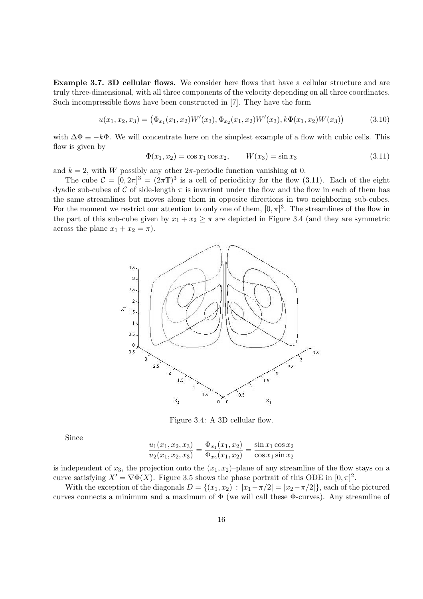Example 3.7. 3D cellular flows. We consider here flows that have a cellular structure and are truly three-dimensional, with all three components of the velocity depending on all three coordinates. Such incompressible flows have been constructed in [7]. They have the form

$$
u(x_1, x_2, x_3) = (\Phi_{x_1}(x_1, x_2)W'(x_3), \Phi_{x_2}(x_1, x_2)W'(x_3), k\Phi(x_1, x_2)W(x_3))
$$
\n(3.10)

with  $\Delta \Phi = -k\Phi$ . We will concentrate here on the simplest example of a flow with cubic cells. This flow is given by

$$
\Phi(x_1, x_2) = \cos x_1 \cos x_2, \qquad W(x_3) = \sin x_3 \tag{3.11}
$$

and  $k = 2$ , with W possibly any other  $2\pi$ -periodic function vanishing at 0.

The cube  $\mathcal{C} = [0, 2\pi]^3 = (2\pi \mathbb{T})^3$  is a cell of periodicity for the flow (3.11). Each of the eight dyadic sub-cubes of C of side-length  $\pi$  is invariant under the flow and the flow in each of them has the same streamlines but moves along them in opposite directions in two neighboring sub-cubes. For the moment we restrict our attention to only one of them,  $[0, \pi]^3$ . The streamlines of the flow in the part of this sub-cube given by  $x_1 + x_2 \geq \pi$  are depicted in Figure 3.4 (and they are symmetric across the plane  $x_1 + x_2 = \pi$ ).



Figure 3.4: A 3D cellular flow.

Since

$$
\frac{u_1(x_1, x_2, x_3)}{u_2(x_1, x_2, x_3)} = \frac{\Phi_{x_1}(x_1, x_2)}{\Phi_{x_2}(x_1, x_2)} = \frac{\sin x_1 \cos x_2}{\cos x_1 \sin x_2}
$$

is independent of  $x_3$ , the projection onto the  $(x_1, x_2)$ –plane of any streamline of the flow stays on a curve satisfying  $X' = \nabla \Phi(X)$ . Figure 3.5 shows the phase portrait of this ODE in  $[0, \pi]^2$ .

With the exception of the diagonals  $D = \{(x_1, x_2) : |x_1 - \pi/2| = |x_2 - \pi/2|\}$ , each of the pictured curves connects a minimum and a maximum of  $\Phi$  (we will call these  $\Phi$ -curves). Any streamline of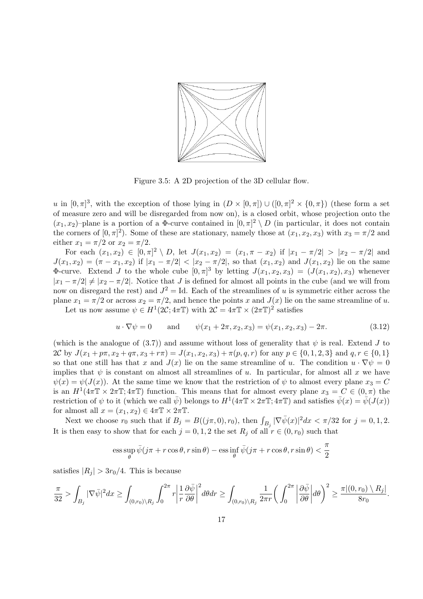

Figure 3.5: A 2D projection of the 3D cellular flow.

u in  $[0,\pi]^3$ , with the exception of those lying in  $(D \times [0,\pi]) \cup ([0,\pi]^2 \times \{0,\pi\})$  (these form a set of measure zero and will be disregarded from now on), is a closed orbit, whose projection onto the  $(x_1, x_2)$ -plane is a portion of a  $\Phi$ -curve contained in  $[0, \pi]^2 \setminus D$  (in particular, it does not contain the corners of  $[0, \pi]^2$ ). Some of these are stationary, namely those at  $(x_1, x_2, x_3)$  with  $x_3 = \pi/2$  and either  $x_1 = \pi/2$  or  $x_2 = \pi/2$ .

For each  $(x_1, x_2) \in [0, \pi]^2 \setminus D$ , let  $J(x_1, x_2) = (x_1, \pi - x_2)$  if  $|x_1 - \pi/2| > |x_2 - \pi/2|$  and  $J(x_1, x_2) = (\pi - x_1, x_2)$  if  $|x_1 - \pi/2| < |x_2 - \pi/2|$ , so that  $(x_1, x_2)$  and  $J(x_1, x_2)$  lie on the same **Φ-curve.** Extend J to the whole cube  $[0, \pi]^3$  by letting  $J(x_1, x_2, x_3) = (J(x_1, x_2), x_3)$  whenever  $|x_1 - \pi/2| \neq |x_2 - \pi/2|$ . Notice that J is defined for almost all points in the cube (and we will from now on disregard the rest) and  $J^2 =$  Id. Each of the streamlines of u is symmetric either across the plane  $x_1 = \pi/2$  or across  $x_2 = \pi/2$ , and hence the points x and  $J(x)$  lie on the same streamline of u.

Let us now assume  $\psi \in H^1(2\mathcal{C}; 4\pi \mathbb{T})$  with  $2\mathcal{C} = 4\pi \mathbb{T} \times (2\pi \mathbb{T})^2$  satisfies

$$
u \cdot \nabla \psi = 0 \quad \text{and} \quad \psi(x_1 + 2\pi, x_2, x_3) = \psi(x_1, x_2, x_3) - 2\pi. \tag{3.12}
$$

(which is the analogue of (3.7)) and assume without loss of generality that  $\psi$  is real. Extend J to 2C by  $J(x_1 + p\pi, x_2 + q\pi, x_3 + r\pi) = J(x_1, x_2, x_3) + \pi(p, q, r)$  for any  $p \in \{0, 1, 2, 3\}$  and  $q, r \in \{0, 1\}$ so that one still has that x and  $J(x)$  lie on the same streamline of u. The condition  $u \cdot \nabla \psi = 0$ implies that  $\psi$  is constant on almost all streamlines of u. In particular, for almost all x we have  $\psi(x) = \psi(J(x))$ . At the same time we know that the restriction of  $\psi$  to almost every plane  $x_3 = C$ is an  $H^1(4\pi \mathbb{T} \times 2\pi \mathbb{T}; 4\pi \mathbb{T})$  function. This means that for almost every plane  $x_3 = C \in (0, \pi)$  the restriction of  $\psi$  to it (which we call  $\bar{\psi}$ ) belongs to  $H^1(4\pi \mathbb{T} \times 2\pi \mathbb{T}; 4\pi \mathbb{T})$  and satisfies  $\bar{\psi}(x) = \bar{\psi}(J(x))$ for almost all  $x = (x_1, x_2) \in 4\pi \mathbb{T} \times 2\pi \mathbb{T}$ .

almost all  $x = (x_1, x_2) \in 4\pi$  if  $X \ncong x_1$ .<br>Next we choose  $r_0$  such that if  $B_j = B((j\pi, 0), r_0)$ , then  $\int_{B_j} |\nabla \bar{\psi}(x)|^2 dx < \pi/32$  for  $j = 0, 1, 2$ . It is then easy to show that for each  $j = 0, 1, 2$  the set  $R_i$  of all  $r \in (0, r_0)$  such that

$$
\text{ess}\sup_{\theta}\bar{\psi}(j\pi+r\cos\theta,r\sin\theta)-\text{ess}\inf_{\theta}\bar{\psi}(j\pi+r\cos\theta,r\sin\theta)<\frac{\pi}{2}
$$

satisfies  $|R_i| > 3r_0/4$ . This is because

$$
\frac{\pi}{32} > \int_{B_j} |\nabla \bar{\psi}|^2 dx \geq \int_{(0,r_0)\setminus R_j} \int_0^{2\pi} r \left|\frac{1}{r} \frac{\partial \bar{\psi}}{\partial \theta}\right|^2 d\theta dr \geq \int_{(0,r_0)\setminus R_j} \frac{1}{2\pi r} \bigg(\int_0^{2\pi} \left|\frac{\partial \bar{\psi}}{\partial \theta}\right| d\theta\bigg)^2 \geq \frac{\pi|(0,r_0)\setminus R_j|}{8r_0}.
$$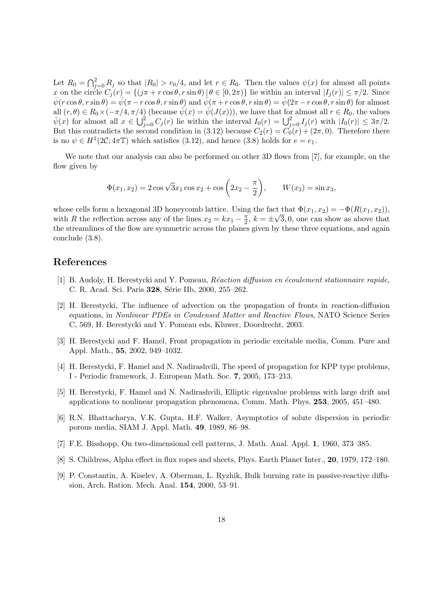Let  $R_0 = \bigcap_i^2$  $j=0 \nvert R_j$  so that  $|R_0| > r_0/4$ , and let  $r \in R_0$ . Then the values  $\psi(x)$  for almost all points x on the circle  $C_i(r) = \{(j\pi + r\cos\theta, r\sin\theta) | \theta \in [0, 2\pi)\}\$ lie within an interval  $|I_i(r)| \leq \pi/2$ . Since  $\bar{\psi}(r\cos\theta, r\sin\theta) = \bar{\psi}(\pi - r\cos\theta, r\sin\theta)$  and  $\bar{\psi}(\pi + r\cos\theta, r\sin\theta) = \bar{\psi}(2\pi - r\cos\theta, r\sin\theta)$  for almost all  $(r, \theta) \in R_0 \times (-\pi/4, \pi/4)$  (because  $\bar{\psi}(x) = \bar{\psi}(J(x))$ ), we have that for almost all  $r \in R_0$ , the values an  $(r, \theta) \in R_0 \times (-\pi/4, \pi/4)$  (because  $\psi(x) = \psi(\mathcal{J}(x))$ ), we have that for almost an  $r \in R_0$ , the values  $\bar{\psi}(x)$  for almost all  $x \in \bigcup_{j=0}^2 C_j(r)$  lie within the interval  $I_0(r) = \bigcup_{j=0}^2 I_j(r)$  with  $|I_0(r)| \leq 3\pi/2$ . But this contradicts the second condition in (3.12) because  $C_2(r) = C_0(r) + (2\pi, 0)$ . Therefore there is no  $\psi \in H^1(2\mathcal{C}; 4\pi \mathbb{T})$  which satisfies (3.12), and hence (3.8) holds for  $e = e_1$ .

We note that our analysis can also be performed on other 3D flows from [7], for example, on the flow given by

$$
\Phi(x_1, x_2) = 2\cos\sqrt{3}x_1\cos x_2 + \cos\left(2x_2 - \frac{\pi}{2}\right), \qquad W(x_3) = \sin x_3,
$$

whose cells form a hexagonal 3D honeycomb lattice. Using the fact that  $\Phi(x_1, x_2) = -\Phi(R(x_1, x_2)),$ with R the reflection across any of the lines  $x_2 = kx_1 - \frac{\pi}{2}$  $\frac{\pi}{2}$ ,  $k = \pm \sqrt{3}$ , 0, one can show as above that the streamlines of the flow are symmetric across the planes given by these three equations, and again conclude (3.8).

# References

- [1] B. Audoly, H. Berestycki and Y. Pomeau, Réaction diffusion en écoulement stationnaire rapide, C. R. Acad. Sci. Paris 328, Série IIb, 2000, 255–262.
- [2] H. Berestycki, The influence of advection on the propagation of fronts in reaction-diffusion equations, in Nonlinear PDEs in Condensed Matter and Reactive Flows, NATO Science Series C, 569, H. Berestycki and Y. Pomeau eds, Kluwer, Doordrecht, 2003.
- [3] H. Berestycki and F. Hamel, Front propagation in periodic excitable media, Comm. Pure and Appl. Math., 55, 2002, 949–1032.
- [4] H. Berestycki, F. Hamel and N. Nadirashvili, The speed of propagation for KPP type problems, I - Periodic framework, J. European Math. Soc. 7, 2005, 173–213.
- [5] H. Berestycki, F. Hamel and N. Nadirashvili, Elliptic eigenvalue problems with large drift and applications to nonlinear propagation phenomena, Comm. Math. Phys. 253, 2005, 451–480.
- [6] R.N. Bhattacharya, V.K. Gupta, H.F. Walker, Asymptotics of solute dispersion in periodic porous media, SIAM J. Appl. Math. 49, 1989, 86–98.
- [7] F.E. Bisshopp, On two-dimensional cell patterns, J. Math. Anal. Appl. 1, 1960, 373–385.
- [8] S. Childress, Alpha effect in flux ropes and sheets, Phys. Earth Planet Inter., 20, 1979, 172–180.
- [9] P. Constantin, A. Kiselev, A. Oberman, L. Ryzhik, Bulk burning rate in passive-reactive diffusion, Arch. Ration. Mech. Anal. 154, 2000, 53–91.